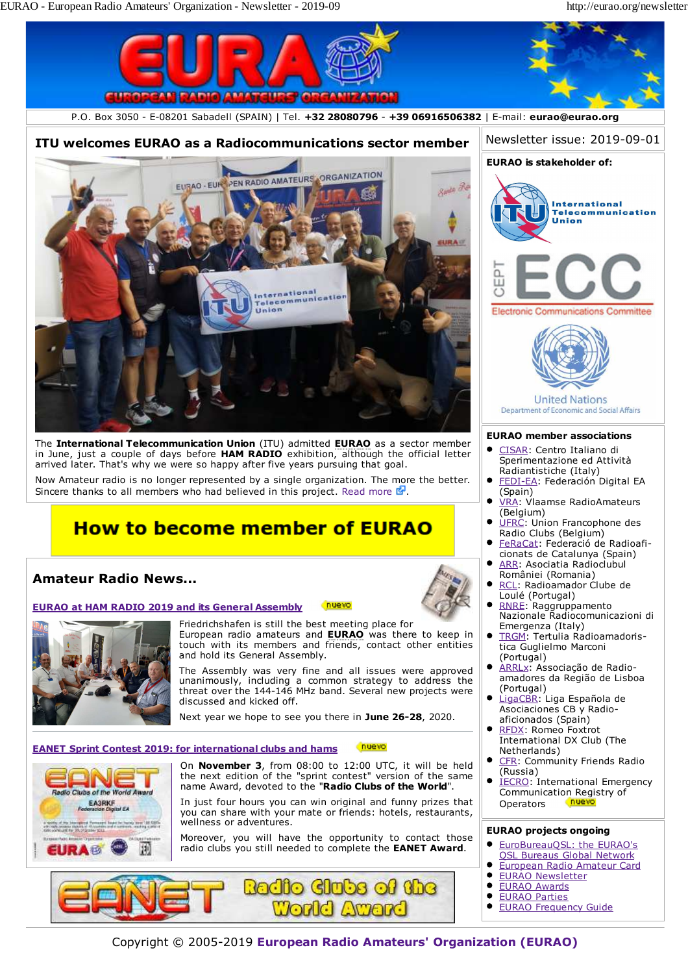